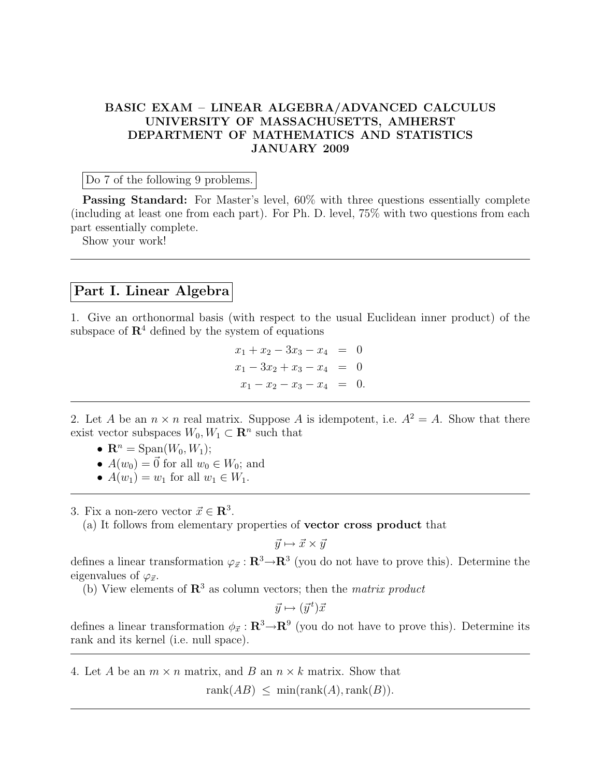## BASIC EXAM – LINEAR ALGEBRA/ADVANCED CALCULUS UNIVERSITY OF MASSACHUSETTS, AMHERST DEPARTMENT OF MATHEMATICS AND STATISTICS JANUARY 2009

Do 7 of the following 9 problems.

Passing Standard: For Master's level, 60% with three questions essentially complete (including at least one from each part). For Ph. D. level, 75% with two questions from each part essentially complete.

Show your work!

## Part I. Linear Algebra

1. Give an orthonormal basis (with respect to the usual Euclidean inner product) of the subspace of  $\mathbb{R}^4$  defined by the system of equations

> $x_1 + x_2 - 3x_3 - x_4 = 0$  $x_1 - 3x_2 + x_3 - x_4 = 0$  $x_1 - x_2 - x_3 - x_4 = 0.$

2. Let A be an  $n \times n$  real matrix. Suppose A is idempotent, i.e.  $A^2 = A$ . Show that there exist vector subspaces  $W_0, W_1 \subset \mathbb{R}^n$  such that

- $\mathbf{R}^n = \text{Span}(W_0, W_1);$
- $A(w_0) = \vec{0}$  for all  $w_0 \in W_0$ ; and
- $A(w_1) = w_1$  for all  $w_1 \in W_1$ .

3. Fix a non-zero vector  $\vec{x} \in \mathbb{R}^3$ .

(a) It follows from elementary properties of vector cross product that

$$
\vec{y} \mapsto \vec{x} \times \vec{y}
$$

defines a linear transformation  $\varphi_{\vec{x}} : \mathbf{R}^3 \to \mathbf{R}^3$  (you do not have to prove this). Determine the eigenvalues of  $\varphi_{\vec{x}}$ .

(b) View elements of  $\mathbb{R}^3$  as column vectors; then the *matrix product* 

 $\vec{y} \mapsto (\vec{y}^t) \vec{x}$ 

defines a linear transformation  $\phi_{\vec{x}} : \mathbf{R}^3 \to \mathbf{R}^9$  (you do not have to prove this). Determine its rank and its kernel (i.e. null space).

4. Let A be an  $m \times n$  matrix, and B an  $n \times k$  matrix. Show that

rank $(AB) \leq \min(\text{rank}(A), \text{rank}(B)).$